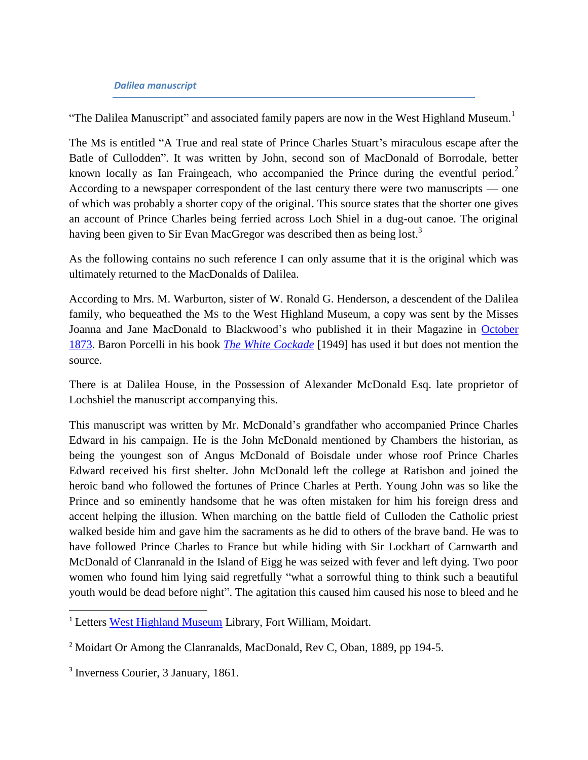#### *Dalilea manuscript*

"The Dalilea Manuscript" and associated family papers are now in the West Highland Museum.<sup>1</sup>

The MS is entitled "A True and real state of Prince Charles Stuart's miraculous escape after the Batle of Cullodden". It was written by John, second son of MacDonald of Borrodale, better known locally as Ian Fraingeach, who accompanied the Prince during the eventful period.<sup>2</sup> According to a newspaper correspondent of the last century there were two manuscripts — one of which was probably a shorter copy of the original. This source states that the shorter one gives an account of Prince Charles being ferried across Loch Shiel in a dug-out canoe. The original having been given to Sir Evan MacGregor was described then as being lost.<sup>3</sup>

As the following contains no such reference I can only assume that it is the original which was ultimately returned to the MacDonalds of Dalilea.

According to Mrs. M. Warburton, sister of W. Ronald G. Henderson, a descendent of the Dalilea family, who bequeathed the MS to the West Highland Museum, a copy was sent by the Misses Joanna and Jane MacDonald to Blackwood's who published it in their Magazine in [October](http://books.google.com/books?id=LWAEAAAAQAAJ&lr=&as_brr=1&pg=PA408#v=onepage&q=&f=false)  [1873.](http://books.google.com/books?id=LWAEAAAAQAAJ&lr=&as_brr=1&pg=PA408#v=onepage&q=&f=false) Baron Porcelli in his book *[The White Cockade](http://books.google.com/books?id=coopPQAACAAJ)* [1949] has used it but does not mention the source.

There is at Dalilea House, in the Possession of Alexander McDonald Esq. late proprietor of Lochshiel the manuscript accompanying this.

This manuscript was written by Mr. McDonald's grandfather who accompanied Prince Charles Edward in his campaign. He is the John McDonald mentioned by Chambers the historian, as being the youngest son of Angus McDonald of Boisdale under whose roof Prince Charles Edward received his first shelter. John McDonald left the college at Ratisbon and joined the heroic band who followed the fortunes of Prince Charles at Perth. Young John was so like the Prince and so eminently handsome that he was often mistaken for him his foreign dress and accent helping the illusion. When marching on the battle field of Culloden the Catholic priest walked beside him and gave him the sacraments as he did to others of the brave band. He was to have followed Prince Charles to France but while hiding with Sir Lockhart of Carnwarth and McDonald of Clanranald in the Island of Eigg he was seized with fever and left dying. Two poor women who found him lying said regretfully "what a sorrowful thing to think such a beautiful youth would be dead before night". The agitation this caused him caused his nose to bleed and he

l

<sup>&</sup>lt;sup>1</sup> Letters [West Highland Museum](http://www.westhighlandmuseum.org.uk/) Library, Fort William, Moidart.

<sup>&</sup>lt;sup>2</sup> Moidart Or Among the Clanranalds, MacDonald, Rev C, Oban, 1889, pp 194-5.

<sup>3</sup> Inverness Courier, 3 January, 1861.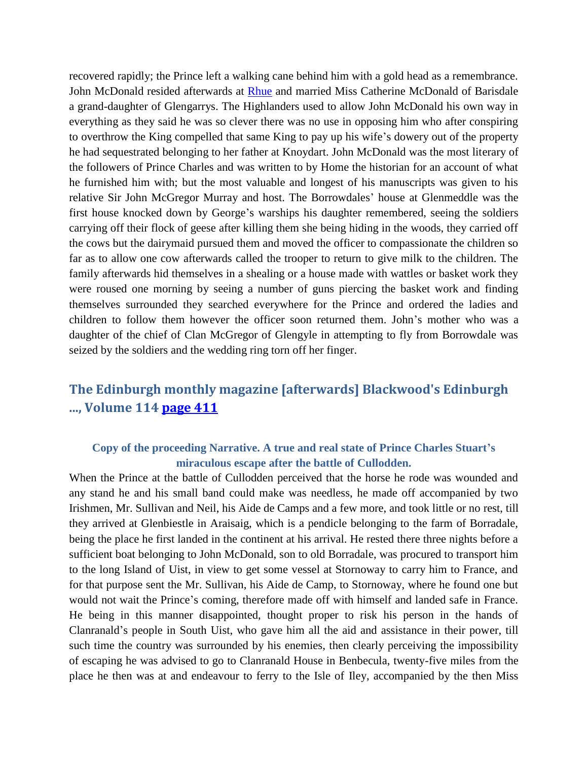recovered rapidly; the Prince left a walking cane behind him with a gold head as a remembrance. John McDonald resided afterwards at [Rhue](http://www.electricscotland.com/history/articles/glenaladale_pioneers.htm) and married Miss Catherine McDonald of Barisdale a grand-daughter of Glengarrys. The Highlanders used to allow John McDonald his own way in everything as they said he was so clever there was no use in opposing him who after conspiring to overthrow the King compelled that same King to pay up his wife's dowery out of the property he had sequestrated belonging to her father at Knoydart. John McDonald was the most literary of the followers of Prince Charles and was written to by Home the historian for an account of what he furnished him with; but the most valuable and longest of his manuscripts was given to his relative Sir John McGregor Murray and host. The Borrowdales' house at Glenmeddle was the first house knocked down by George's warships his daughter remembered, seeing the soldiers carrying off their flock of geese after killing them she being hiding in the woods, they carried off the cows but the dairymaid pursued them and moved the officer to compassionate the children so far as to allow one cow afterwards called the trooper to return to give milk to the children. The family afterwards hid themselves in a shealing or a house made with wattles or basket work they were roused one morning by seeing a number of guns piercing the basket work and finding themselves surrounded they searched everywhere for the Prince and ordered the ladies and children to follow them however the officer soon returned them. John's mother who was a daughter of the chief of Clan McGregor of Glengyle in attempting to fly from Borrowdale was seized by the soldiers and the wedding ring torn off her finger.

# **The Edinburgh monthly magazine [afterwards] Blackwood's Edinburgh ..., Volume 114 [page 411](http://books.google.com/books?id=LWAEAAAAQAAJ&lr=&as_brr=1&pg=PA411#v=onepage&q=&f=false)**

## **Copy of the proceeding Narrative. A true and real state of Prince Charles Stuart's miraculous escape after the battle of Cullodden.**

When the Prince at the battle of Cullodden perceived that the horse he rode was wounded and any stand he and his small band could make was needless, he made off accompanied by two Irishmen, Mr. Sullivan and Neil, his Aide de Camps and a few more, and took little or no rest, till they arrived at Glenbiestle in Araisaig, which is a pendicle belonging to the farm of Borradale, being the place he first landed in the continent at his arrival. He rested there three nights before a sufficient boat belonging to John McDonald, son to old Borradale, was procured to transport him to the long Island of Uist, in view to get some vessel at Stornoway to carry him to France, and for that purpose sent the Mr. Sullivan, his Aide de Camp, to Stornoway, where he found one but would not wait the Prince's coming, therefore made off with himself and landed safe in France. He being in this manner disappointed, thought proper to risk his person in the hands of Clanranald's people in South Uist, who gave him all the aid and assistance in their power, till such time the country was surrounded by his enemies, then clearly perceiving the impossibility of escaping he was advised to go to Clanranald House in Benbecula, twenty-five miles from the place he then was at and endeavour to ferry to the Isle of Iley, accompanied by the then Miss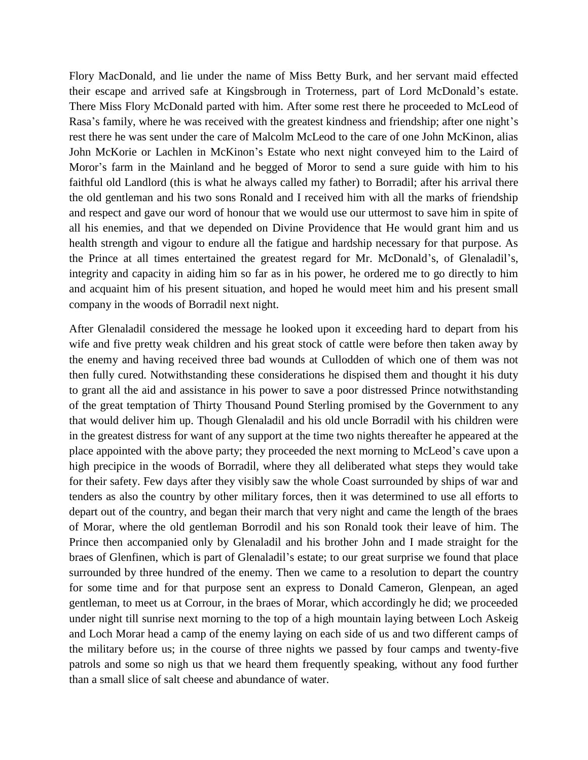Flory MacDonald, and lie under the name of Miss Betty Burk, and her servant maid effected their escape and arrived safe at Kingsbrough in Troterness, part of Lord McDonald's estate. There Miss Flory McDonald parted with him. After some rest there he proceeded to McLeod of Rasa's family, where he was received with the greatest kindness and friendship; after one night's rest there he was sent under the care of Malcolm McLeod to the care of one John McKinon, alias John McKorie or Lachlen in McKinon's Estate who next night conveyed him to the Laird of Moror's farm in the Mainland and he begged of Moror to send a sure guide with him to his faithful old Landlord (this is what he always called my father) to Borradil; after his arrival there the old gentleman and his two sons Ronald and I received him with all the marks of friendship and respect and gave our word of honour that we would use our uttermost to save him in spite of all his enemies, and that we depended on Divine Providence that He would grant him and us health strength and vigour to endure all the fatigue and hardship necessary for that purpose. As the Prince at all times entertained the greatest regard for Mr. McDonald's, of Glenaladil's, integrity and capacity in aiding him so far as in his power, he ordered me to go directly to him and acquaint him of his present situation, and hoped he would meet him and his present small company in the woods of Borradil next night.

After Glenaladil considered the message he looked upon it exceeding hard to depart from his wife and five pretty weak children and his great stock of cattle were before then taken away by the enemy and having received three bad wounds at Cullodden of which one of them was not then fully cured. Notwithstanding these considerations he dispised them and thought it his duty to grant all the aid and assistance in his power to save a poor distressed Prince notwithstanding of the great temptation of Thirty Thousand Pound Sterling promised by the Government to any that would deliver him up. Though Glenaladil and his old uncle Borradil with his children were in the greatest distress for want of any support at the time two nights thereafter he appeared at the place appointed with the above party; they proceeded the next morning to McLeod's cave upon a high precipice in the woods of Borradil, where they all deliberated what steps they would take for their safety. Few days after they visibly saw the whole Coast surrounded by ships of war and tenders as also the country by other military forces, then it was determined to use all efforts to depart out of the country, and began their march that very night and came the length of the braes of Morar, where the old gentleman Borrodil and his son Ronald took their leave of him. The Prince then accompanied only by Glenaladil and his brother John and I made straight for the braes of Glenfinen, which is part of Glenaladil's estate; to our great surprise we found that place surrounded by three hundred of the enemy. Then we came to a resolution to depart the country for some time and for that purpose sent an express to Donald Cameron, Glenpean, an aged gentleman, to meet us at Corrour, in the braes of Morar, which accordingly he did; we proceeded under night till sunrise next morning to the top of a high mountain laying between Loch Askeig and Loch Morar head a camp of the enemy laying on each side of us and two different camps of the military before us; in the course of three nights we passed by four camps and twenty-five patrols and some so nigh us that we heard them frequently speaking, without any food further than a small slice of salt cheese and abundance of water.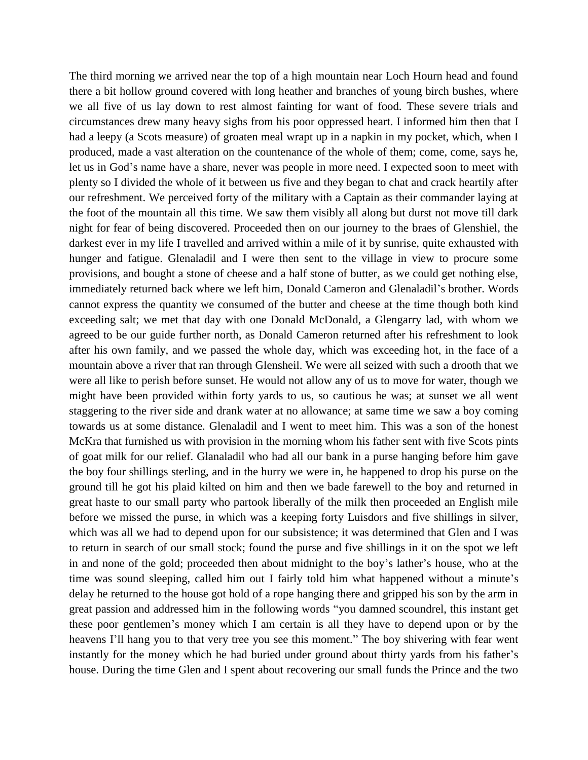The third morning we arrived near the top of a high mountain near Loch Hourn head and found there a bit hollow ground covered with long heather and branches of young birch bushes, where we all five of us lay down to rest almost fainting for want of food. These severe trials and circumstances drew many heavy sighs from his poor oppressed heart. I informed him then that I had a leepy (a Scots measure) of groaten meal wrapt up in a napkin in my pocket, which, when I produced, made a vast alteration on the countenance of the whole of them; come, come, says he, let us in God's name have a share, never was people in more need. I expected soon to meet with plenty so I divided the whole of it between us five and they began to chat and crack heartily after our refreshment. We perceived forty of the military with a Captain as their commander laying at the foot of the mountain all this time. We saw them visibly all along but durst not move till dark night for fear of being discovered. Proceeded then on our journey to the braes of Glenshiel, the darkest ever in my life I travelled and arrived within a mile of it by sunrise, quite exhausted with hunger and fatigue. Glenaladil and I were then sent to the village in view to procure some provisions, and bought a stone of cheese and a half stone of butter, as we could get nothing else, immediately returned back where we left him, Donald Cameron and Glenaladil's brother. Words cannot express the quantity we consumed of the butter and cheese at the time though both kind exceeding salt; we met that day with one Donald McDonald, a Glengarry lad, with whom we agreed to be our guide further north, as Donald Cameron returned after his refreshment to look after his own family, and we passed the whole day, which was exceeding hot, in the face of a mountain above a river that ran through Glensheil. We were all seized with such a drooth that we were all like to perish before sunset. He would not allow any of us to move for water, though we might have been provided within forty yards to us, so cautious he was; at sunset we all went staggering to the river side and drank water at no allowance; at same time we saw a boy coming towards us at some distance. Glenaladil and I went to meet him. This was a son of the honest McKra that furnished us with provision in the morning whom his father sent with five Scots pints of goat milk for our relief. Glanaladil who had all our bank in a purse hanging before him gave the boy four shillings sterling, and in the hurry we were in, he happened to drop his purse on the ground till he got his plaid kilted on him and then we bade farewell to the boy and returned in great haste to our small party who partook liberally of the milk then proceeded an English mile before we missed the purse, in which was a keeping forty Luisdors and five shillings in silver, which was all we had to depend upon for our subsistence; it was determined that Glen and I was to return in search of our small stock; found the purse and five shillings in it on the spot we left in and none of the gold; proceeded then about midnight to the boy's lather's house, who at the time was sound sleeping, called him out I fairly told him what happened without a minute's delay he returned to the house got hold of a rope hanging there and gripped his son by the arm in great passion and addressed him in the following words "you damned scoundrel, this instant get these poor gentlemen's money which I am certain is all they have to depend upon or by the heavens I'll hang you to that very tree you see this moment." The boy shivering with fear went instantly for the money which he had buried under ground about thirty yards from his father's house. During the time Glen and I spent about recovering our small funds the Prince and the two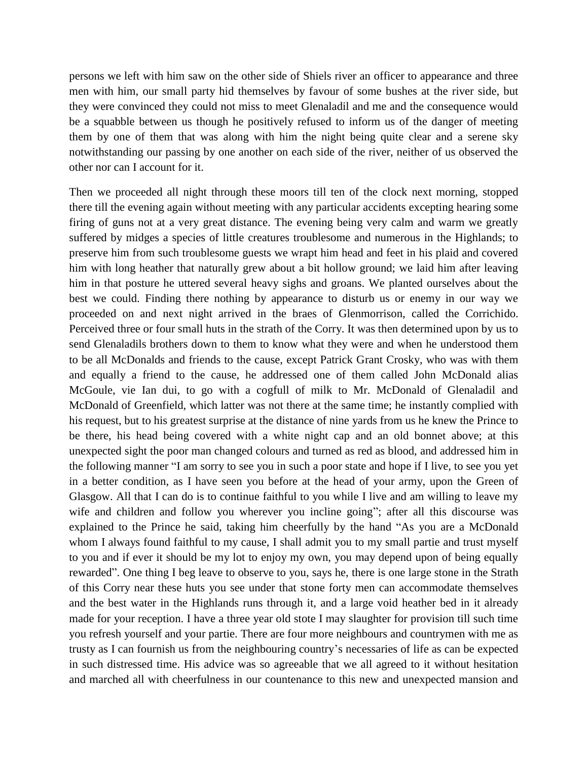persons we left with him saw on the other side of Shiels river an officer to appearance and three men with him, our small party hid themselves by favour of some bushes at the river side, but they were convinced they could not miss to meet Glenaladil and me and the consequence would be a squabble between us though he positively refused to inform us of the danger of meeting them by one of them that was along with him the night being quite clear and a serene sky notwithstanding our passing by one another on each side of the river, neither of us observed the other nor can I account for it.

Then we proceeded all night through these moors till ten of the clock next morning, stopped there till the evening again without meeting with any particular accidents excepting hearing some firing of guns not at a very great distance. The evening being very calm and warm we greatly suffered by midges a species of little creatures troublesome and numerous in the Highlands; to preserve him from such troublesome guests we wrapt him head and feet in his plaid and covered him with long heather that naturally grew about a bit hollow ground; we laid him after leaving him in that posture he uttered several heavy sighs and groans. We planted ourselves about the best we could. Finding there nothing by appearance to disturb us or enemy in our way we proceeded on and next night arrived in the braes of Glenmorrison, called the Corrichido. Perceived three or four small huts in the strath of the Corry. It was then determined upon by us to send Glenaladils brothers down to them to know what they were and when he understood them to be all McDonalds and friends to the cause, except Patrick Grant Crosky, who was with them and equally a friend to the cause, he addressed one of them called John McDonald alias McGoule, vie Ian dui, to go with a cogfull of milk to Mr. McDonald of Glenaladil and McDonald of Greenfield, which latter was not there at the same time; he instantly complied with his request, but to his greatest surprise at the distance of nine yards from us he knew the Prince to be there, his head being covered with a white night cap and an old bonnet above; at this unexpected sight the poor man changed colours and turned as red as blood, and addressed him in the following manner "I am sorry to see you in such a poor state and hope if I live, to see you yet in a better condition, as I have seen you before at the head of your army, upon the Green of Glasgow. All that I can do is to continue faithful to you while I live and am willing to leave my wife and children and follow you wherever you incline going"; after all this discourse was explained to the Prince he said, taking him cheerfully by the hand "As you are a McDonald whom I always found faithful to my cause, I shall admit you to my small partie and trust myself to you and if ever it should be my lot to enjoy my own, you may depend upon of being equally rewarded". One thing I beg leave to observe to you, says he, there is one large stone in the Strath of this Corry near these huts you see under that stone forty men can accommodate themselves and the best water in the Highlands runs through it, and a large void heather bed in it already made for your reception. I have a three year old stote I may slaughter for provision till such time you refresh yourself and your partie. There are four more neighbours and countrymen with me as trusty as I can fournish us from the neighbouring country's necessaries of life as can be expected in such distressed time. His advice was so agreeable that we all agreed to it without hesitation and marched all with cheerfulness in our countenance to this new and unexpected mansion and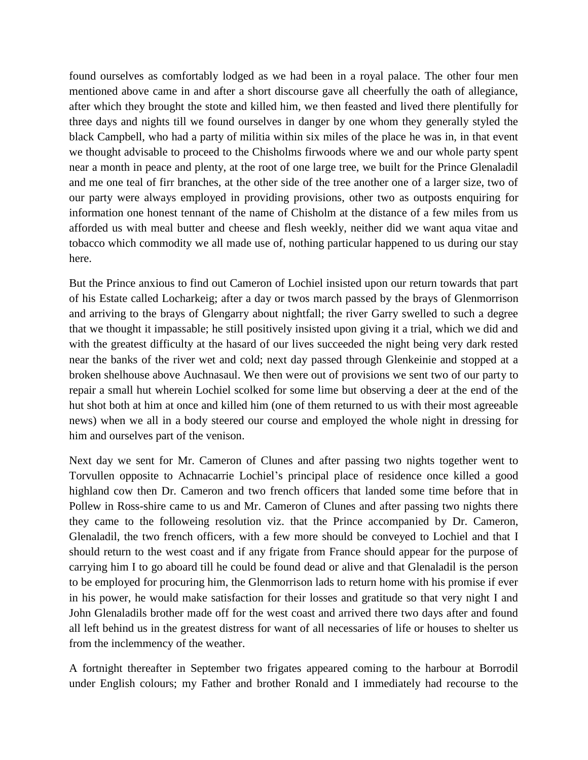found ourselves as comfortably lodged as we had been in a royal palace. The other four men mentioned above came in and after a short discourse gave all cheerfully the oath of allegiance, after which they brought the stote and killed him, we then feasted and lived there plentifully for three days and nights till we found ourselves in danger by one whom they generally styled the black Campbell, who had a party of militia within six miles of the place he was in, in that event we thought advisable to proceed to the Chisholms firwoods where we and our whole party spent near a month in peace and plenty, at the root of one large tree, we built for the Prince Glenaladil and me one teal of firr branches, at the other side of the tree another one of a larger size, two of our party were always employed in providing provisions, other two as outposts enquiring for information one honest tennant of the name of Chisholm at the distance of a few miles from us afforded us with meal butter and cheese and flesh weekly, neither did we want aqua vitae and tobacco which commodity we all made use of, nothing particular happened to us during our stay here.

But the Prince anxious to find out Cameron of Lochiel insisted upon our return towards that part of his Estate called Locharkeig; after a day or twos march passed by the brays of Glenmorrison and arriving to the brays of Glengarry about nightfall; the river Garry swelled to such a degree that we thought it impassable; he still positively insisted upon giving it a trial, which we did and with the greatest difficulty at the hasard of our lives succeeded the night being very dark rested near the banks of the river wet and cold; next day passed through Glenkeinie and stopped at a broken shelhouse above Auchnasaul. We then were out of provisions we sent two of our party to repair a small hut wherein Lochiel scolked for some lime but observing a deer at the end of the hut shot both at him at once and killed him (one of them returned to us with their most agreeable news) when we all in a body steered our course and employed the whole night in dressing for him and ourselves part of the venison.

Next day we sent for Mr. Cameron of Clunes and after passing two nights together went to Torvullen opposite to Achnacarrie Lochiel's principal place of residence once killed a good highland cow then Dr. Cameron and two french officers that landed some time before that in Pollew in Ross-shire came to us and Mr. Cameron of Clunes and after passing two nights there they came to the followeing resolution viz. that the Prince accompanied by Dr. Cameron, Glenaladil, the two french officers, with a few more should be conveyed to Lochiel and that I should return to the west coast and if any frigate from France should appear for the purpose of carrying him I to go aboard till he could be found dead or alive and that Glenaladil is the person to be employed for procuring him, the Glenmorrison lads to return home with his promise if ever in his power, he would make satisfaction for their losses and gratitude so that very night I and John Glenaladils brother made off for the west coast and arrived there two days after and found all left behind us in the greatest distress for want of all necessaries of life or houses to shelter us from the inclemmency of the weather.

A fortnight thereafter in September two frigates appeared coming to the harbour at Borrodil under English colours; my Father and brother Ronald and I immediately had recourse to the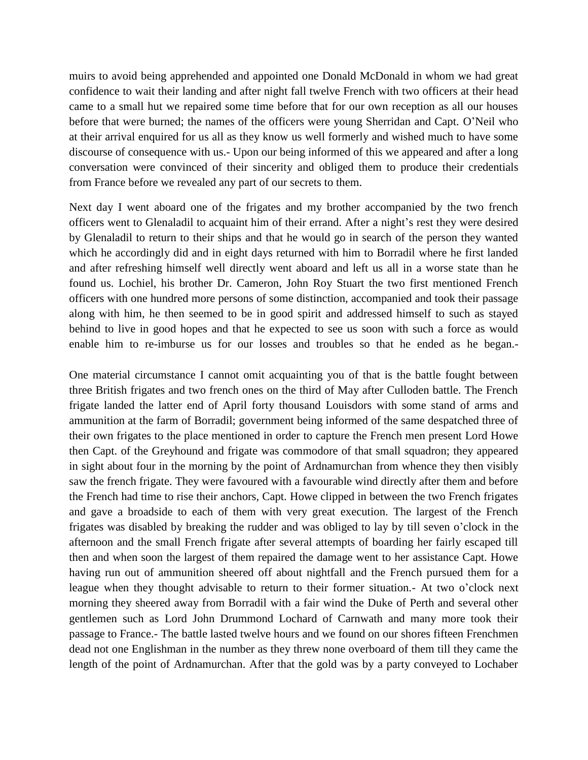muirs to avoid being apprehended and appointed one Donald McDonald in whom we had great confidence to wait their landing and after night fall twelve French with two officers at their head came to a small hut we repaired some time before that for our own reception as all our houses before that were burned; the names of the officers were young Sherridan and Capt. O'Neil who at their arrival enquired for us all as they know us well formerly and wished much to have some discourse of consequence with us.- Upon our being informed of this we appeared and after a long conversation were convinced of their sincerity and obliged them to produce their credentials from France before we revealed any part of our secrets to them.

Next day I went aboard one of the frigates and my brother accompanied by the two french officers went to Glenaladil to acquaint him of their errand. After a night's rest they were desired by Glenaladil to return to their ships and that he would go in search of the person they wanted which he accordingly did and in eight days returned with him to Borradil where he first landed and after refreshing himself well directly went aboard and left us all in a worse state than he found us. Lochiel, his brother Dr. Cameron, John Roy Stuart the two first mentioned French officers with one hundred more persons of some distinction, accompanied and took their passage along with him, he then seemed to be in good spirit and addressed himself to such as stayed behind to live in good hopes and that he expected to see us soon with such a force as would enable him to re-imburse us for our losses and troubles so that he ended as he began.-

One material circumstance I cannot omit acquainting you of that is the battle fought between three British frigates and two french ones on the third of May after Culloden battle. The French frigate landed the latter end of April forty thousand Louisdors with some stand of arms and ammunition at the farm of Borradil; government being informed of the same despatched three of their own frigates to the place mentioned in order to capture the French men present Lord Howe then Capt. of the Greyhound and frigate was commodore of that small squadron; they appeared in sight about four in the morning by the point of Ardnamurchan from whence they then visibly saw the french frigate. They were favoured with a favourable wind directly after them and before the French had time to rise their anchors, Capt. Howe clipped in between the two French frigates and gave a broadside to each of them with very great execution. The largest of the French frigates was disabled by breaking the rudder and was obliged to lay by till seven o'clock in the afternoon and the small French frigate after several attempts of boarding her fairly escaped till then and when soon the largest of them repaired the damage went to her assistance Capt. Howe having run out of ammunition sheered off about nightfall and the French pursued them for a league when they thought advisable to return to their former situation.- At two o'clock next morning they sheered away from Borradil with a fair wind the Duke of Perth and several other gentlemen such as Lord John Drummond Lochard of Carnwath and many more took their passage to France.- The battle lasted twelve hours and we found on our shores fifteen Frenchmen dead not one Englishman in the number as they threw none overboard of them till they came the length of the point of Ardnamurchan. After that the gold was by a party conveyed to Lochaber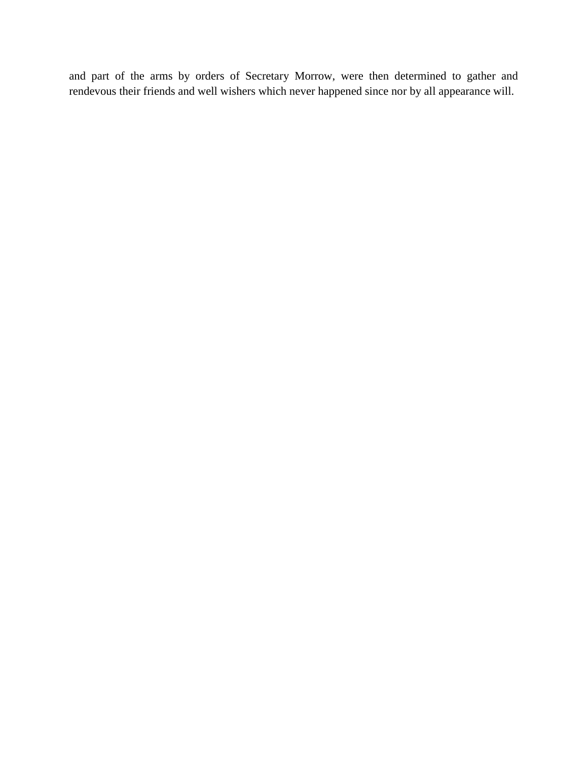and part of the arms by orders of Secretary Morrow, were then determined to gather and rendevous their friends and well wishers which never happened since nor by all appearance will.